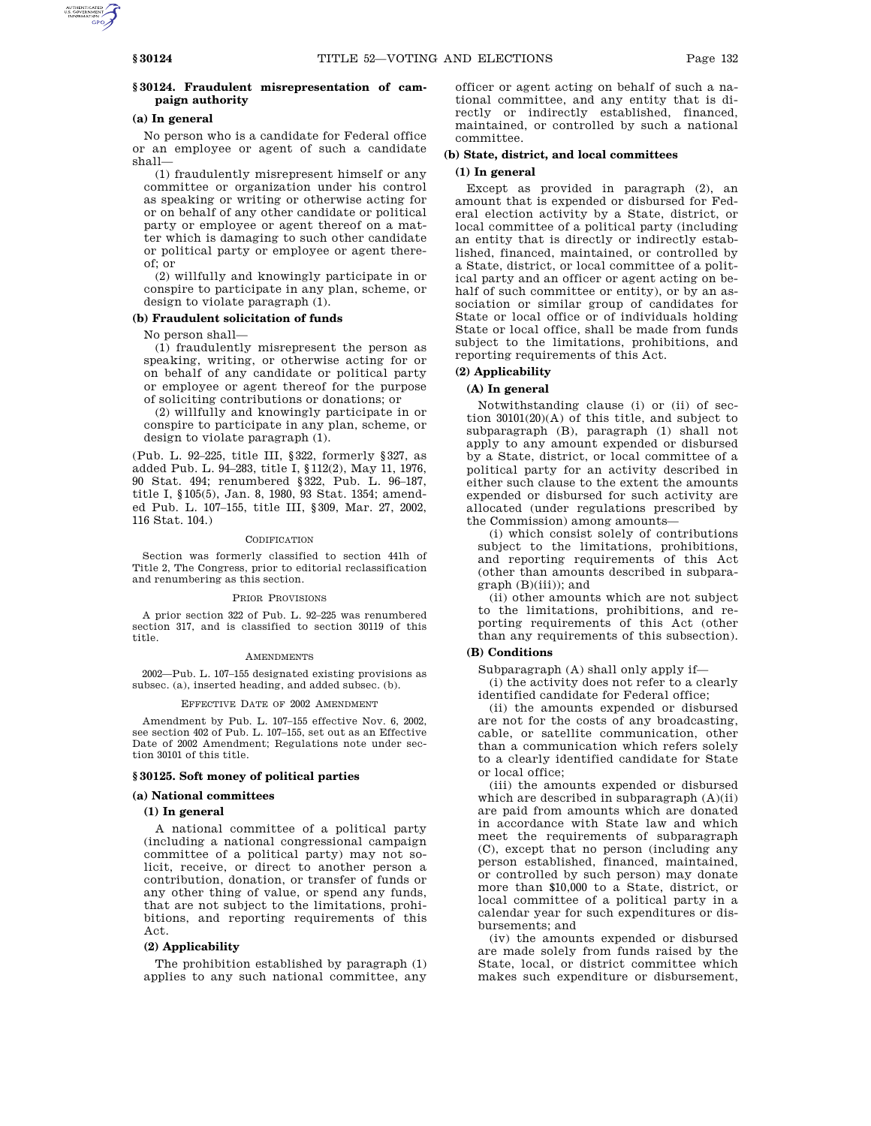# **§ 30124. Fraudulent misrepresentation of campaign authority**

# **(a) In general**

No person who is a candidate for Federal office or an employee or agent of such a candidate shall—

(1) fraudulently misrepresent himself or any committee or organization under his control as speaking or writing or otherwise acting for or on behalf of any other candidate or political party or employee or agent thereof on a matter which is damaging to such other candidate or political party or employee or agent thereof; or

(2) willfully and knowingly participate in or conspire to participate in any plan, scheme, or design to violate paragraph (1).

## **(b) Fraudulent solicitation of funds**

No person shall—

(1) fraudulently misrepresent the person as speaking, writing, or otherwise acting for or on behalf of any candidate or political party or employee or agent thereof for the purpose of soliciting contributions or donations; or

(2) willfully and knowingly participate in or conspire to participate in any plan, scheme, or design to violate paragraph (1).

(Pub. L. 92–225, title III, §322, formerly §327, as added Pub. L. 94–283, title I, §112(2), May 11, 1976, 90 Stat. 494; renumbered §322, Pub. L. 96–187, title I, §105(5), Jan. 8, 1980, 93 Stat. 1354; amended Pub. L. 107–155, title III, §309, Mar. 27, 2002, 116 Stat. 104.)

#### CODIFICATION

Section was formerly classified to section 441h of Title 2, The Congress, prior to editorial reclassification and renumbering as this section.

#### PRIOR PROVISIONS

A prior section 322 of Pub. L. 92–225 was renumbered section 317, and is classified to section 30119 of this title.

#### **AMENDMENTS**

2002—Pub. L. 107–155 designated existing provisions as subsec. (a), inserted heading, and added subsec. (b).

## EFFECTIVE DATE OF 2002 AMENDMENT

Amendment by Pub. L. 107–155 effective Nov. 6, 2002, see section 402 of Pub. L. 107–155, set out as an Effective Date of 2002 Amendment; Regulations note under section 30101 of this title.

# **§ 30125. Soft money of political parties**

# **(a) National committees**

# **(1) In general**

A national committee of a political party (including a national congressional campaign committee of a political party) may not solicit, receive, or direct to another person a contribution, donation, or transfer of funds or any other thing of value, or spend any funds, that are not subject to the limitations, prohibitions, and reporting requirements of this Act.

## **(2) Applicability**

The prohibition established by paragraph (1) applies to any such national committee, any

officer or agent acting on behalf of such a national committee, and any entity that is directly or indirectly established, financed, maintained, or controlled by such a national committee.

# **(b) State, district, and local committees**

## **(1) In general**

Except as provided in paragraph (2), an amount that is expended or disbursed for Federal election activity by a State, district, or local committee of a political party (including an entity that is directly or indirectly established, financed, maintained, or controlled by a State, district, or local committee of a political party and an officer or agent acting on behalf of such committee or entity), or by an association or similar group of candidates for State or local office or of individuals holding State or local office, shall be made from funds subject to the limitations, prohibitions, and reporting requirements of this Act.

## **(2) Applicability**

# **(A) In general**

Notwithstanding clause (i) or (ii) of section 30101(20)(A) of this title, and subject to subparagraph (B), paragraph (1) shall not apply to any amount expended or disbursed by a State, district, or local committee of a political party for an activity described in either such clause to the extent the amounts expended or disbursed for such activity are allocated (under regulations prescribed by the Commission) among amounts—

(i) which consist solely of contributions subject to the limitations, prohibitions, and reporting requirements of this Act (other than amounts described in subparagraph (B)(iii)); and

(ii) other amounts which are not subject to the limitations, prohibitions, and reporting requirements of this Act (other than any requirements of this subsection).

#### **(B) Conditions**

Subparagraph (A) shall only apply if—

(i) the activity does not refer to a clearly identified candidate for Federal office;

(ii) the amounts expended or disbursed are not for the costs of any broadcasting, cable, or satellite communication, other than a communication which refers solely to a clearly identified candidate for State or local office;

(iii) the amounts expended or disbursed which are described in subparagraph (A)(ii) are paid from amounts which are donated in accordance with State law and which meet the requirements of subparagraph (C), except that no person (including any person established, financed, maintained, or controlled by such person) may donate more than \$10,000 to a State, district, or local committee of a political party in a calendar year for such expenditures or disbursements; and

(iv) the amounts expended or disbursed are made solely from funds raised by the State, local, or district committee which makes such expenditure or disbursement,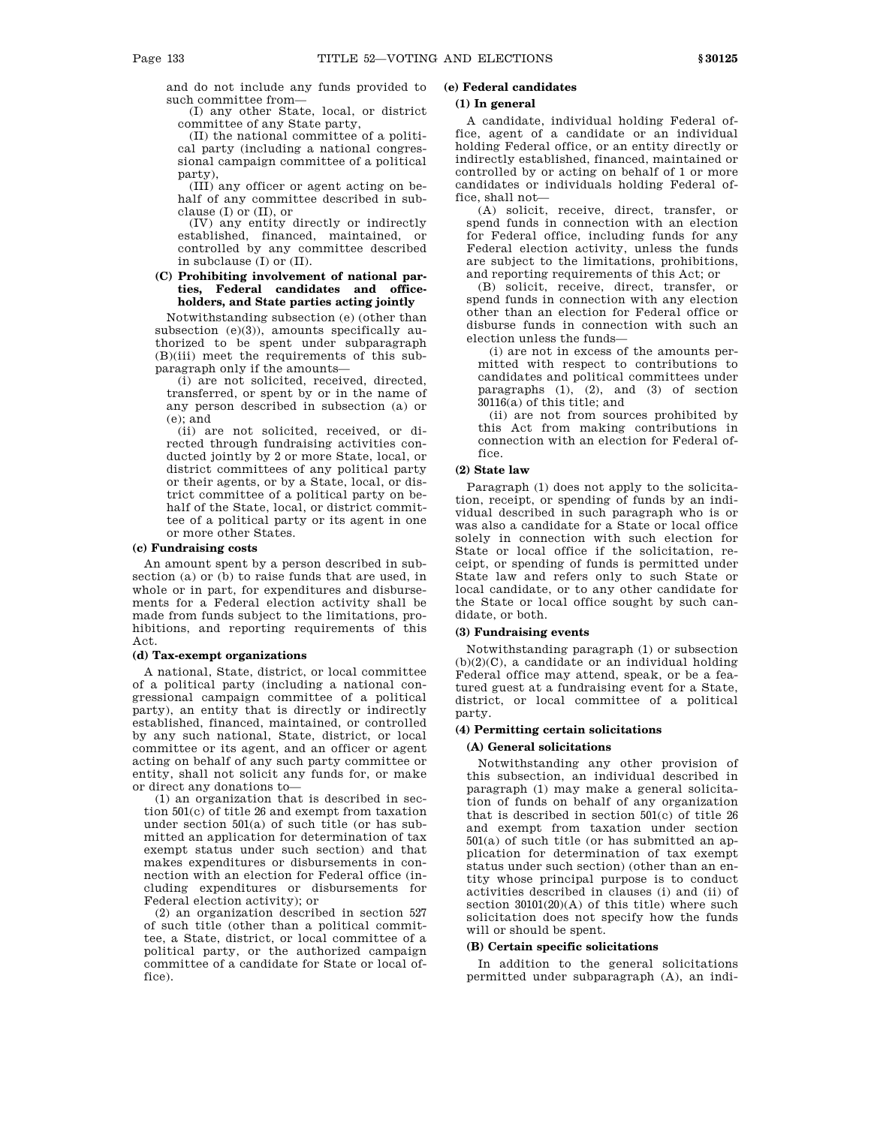and do not include any funds provided to such committee from—

(I) any other State, local, or district committee of any State party,

(II) the national committee of a political party (including a national congressional campaign committee of a political party),

(III) any officer or agent acting on behalf of any committee described in subclause (I) or (II), or

(IV) any entity directly or indirectly established, financed, maintained, or controlled by any committee described in subclause (I) or (II).

# **(C) Prohibiting involvement of national parties, Federal candidates and officeholders, and State parties acting jointly**

Notwithstanding subsection (e) (other than subsection (e)(3)), amounts specifically authorized to be spent under subparagraph (B)(iii) meet the requirements of this subparagraph only if the amounts—

(i) are not solicited, received, directed, transferred, or spent by or in the name of any person described in subsection (a) or (e); and

(ii) are not solicited, received, or directed through fundraising activities conducted jointly by 2 or more State, local, or district committees of any political party or their agents, or by a State, local, or district committee of a political party on behalf of the State, local, or district committee of a political party or its agent in one or more other States.

# **(c) Fundraising costs**

An amount spent by a person described in subsection (a) or (b) to raise funds that are used, in whole or in part, for expenditures and disbursements for a Federal election activity shall be made from funds subject to the limitations, prohibitions, and reporting requirements of this Act.

# **(d) Tax-exempt organizations**

A national, State, district, or local committee of a political party (including a national congressional campaign committee of a political party), an entity that is directly or indirectly established, financed, maintained, or controlled by any such national, State, district, or local committee or its agent, and an officer or agent acting on behalf of any such party committee or entity, shall not solicit any funds for, or make or direct any donations to—

(1) an organization that is described in section 501(c) of title 26 and exempt from taxation under section 501(a) of such title (or has submitted an application for determination of tax exempt status under such section) and that makes expenditures or disbursements in connection with an election for Federal office (including expenditures or disbursements for Federal election activity); or

(2) an organization described in section 527 of such title (other than a political committee, a State, district, or local committee of a political party, or the authorized campaign committee of a candidate for State or local office).

# **(e) Federal candidates**

# **(1) In general**

A candidate, individual holding Federal office, agent of a candidate or an individual holding Federal office, or an entity directly or indirectly established, financed, maintained or controlled by or acting on behalf of 1 or more candidates or individuals holding Federal office, shall not—

(A) solicit, receive, direct, transfer, or spend funds in connection with an election for Federal office, including funds for any Federal election activity, unless the funds are subject to the limitations, prohibitions, and reporting requirements of this Act; or

(B) solicit, receive, direct, transfer, or spend funds in connection with any election other than an election for Federal office or disburse funds in connection with such an election unless the funds—

(i) are not in excess of the amounts permitted with respect to contributions to candidates and political committees under paragraphs (1), (2), and (3) of section 30116(a) of this title; and

(ii) are not from sources prohibited by this Act from making contributions in connection with an election for Federal office.

# **(2) State law**

Paragraph (1) does not apply to the solicitation, receipt, or spending of funds by an individual described in such paragraph who is or was also a candidate for a State or local office solely in connection with such election for State or local office if the solicitation, receipt, or spending of funds is permitted under State law and refers only to such State or local candidate, or to any other candidate for the State or local office sought by such candidate, or both.

# **(3) Fundraising events**

Notwithstanding paragraph (1) or subsection  $(b)(2)(C)$ , a candidate or an individual holding Federal office may attend, speak, or be a featured guest at a fundraising event for a State, district, or local committee of a political party.

# **(4) Permitting certain solicitations**

## **(A) General solicitations**

Notwithstanding any other provision of this subsection, an individual described in paragraph (1) may make a general solicitation of funds on behalf of any organization that is described in section 501(c) of title 26 and exempt from taxation under section 501(a) of such title (or has submitted an application for determination of tax exempt status under such section) (other than an entity whose principal purpose is to conduct activities described in clauses (i) and (ii) of section  $30101(20)(A)$  of this title) where such solicitation does not specify how the funds will or should be spent.

## **(B) Certain specific solicitations**

In addition to the general solicitations permitted under subparagraph (A), an indi